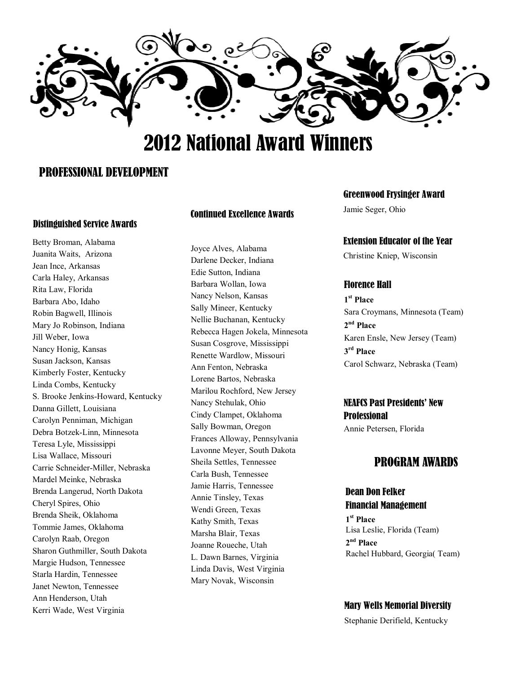

# 2012 National Award Winners

## PROFESSIONAL DEVELOPMENT

## Distinguished Service Awards

Betty Broman, Alabama Juanita Waits, Arizona Jean Ince, Arkansas Carla Haley, Arkansas Rita Law, Florida Barbara Abo, Idaho Robin Bagwell, Illinois Mary Jo Robinson, Indiana Jill Weber, Iowa Nancy Honig, Kansas Susan Jackson, Kansas Kimberly Foster, Kentucky Linda Combs, Kentucky S. Brooke Jenkins-Howard, Kentucky Danna Gillett, Louisiana Carolyn Penniman, Michigan Debra Botzek-Linn, Minnesota Teresa Lyle, Mississippi Lisa Wallace, Missouri Carrie Schneider-Miller, Nebraska Mardel Meinke, Nebraska Brenda Langerud, North Dakota Cheryl Spires, Ohio Brenda Sheik, Oklahoma Tommie James, Oklahoma Carolyn Raab, Oregon Sharon Guthmiller, South Dakota Margie Hudson, Tennessee Starla Hardin, Tennessee Janet Newton, Tennessee Ann Henderson, Utah Kerri Wade, West Virginia

#### Continued Excellence Awards

Joyce Alves, Alabama Darlene Decker, Indiana Edie Sutton, Indiana Barbara Wollan, Iowa Nancy Nelson, Kansas Sally Mineer, Kentucky Nellie Buchanan, Kentucky Rebecca Hagen Jokela, Minnesota Susan Cosgrove, Mississippi Renette Wardlow, Missouri Ann Fenton, Nebraska Lorene Bartos, Nebraska Marilou Rochford, New Jersey Nancy Stehulak, Ohio Cindy Clampet, Oklahoma Sally Bowman, Oregon Frances Alloway, Pennsylvania Lavonne Meyer, South Dakota Sheila Settles, Tennessee Carla Bush, Tennessee Jamie Harris, Tennessee Annie Tinsley, Texas Wendi Green, Texas Kathy Smith, Texas Marsha Blair, Texas Joanne Roueche, Utah L. Dawn Barnes, Virginia Linda Davis, West Virginia Mary Novak, Wisconsin

#### Greenwood Frysinger Award

Jamie Seger, Ohio

#### Extension Educator of the Year

Christine Kniep, Wisconsin

## Florence Hall

**1 st Place**  Sara Croymans, Minnesota (Team) **2 nd Place**  Karen Ensle, New Jersey (Team) **3 rd Place**  Carol Schwarz, Nebraska (Team)

## NEAFCS Past Presidents' New **Professional**

Annie Petersen, Florida

## PROGRAM AWARDS

## Dean Don Felker Financial Management

**1 st Place**  Lisa Leslie, Florida (Team) **2 nd Place**  Rachel Hubbard, Georgia( Team)

#### Mary Wells Memorial Diversity

Stephanie Derifield, Kentucky